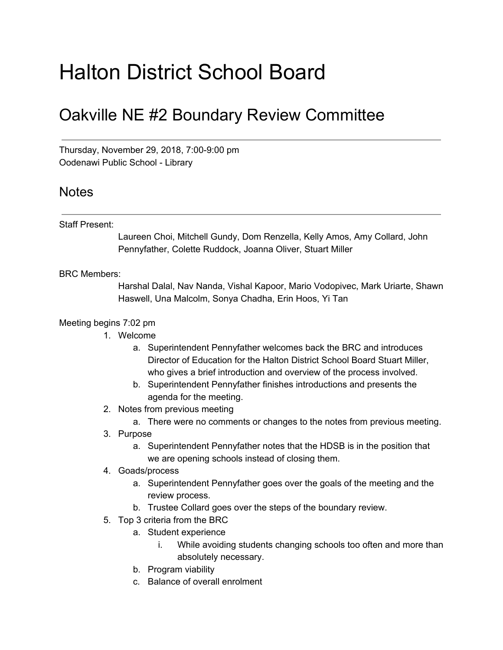# Halton District School Board

## Oakville NE #2 Boundary Review Committee

Thursday, November 29, 2018, 7:00-9:00 pm Oodenawi Public School - Library

### Notes

#### Staff Present:

Laureen Choi, Mitchell Gundy, Dom Renzella, Kelly Amos, Amy Collard, John Pennyfather, Colette Ruddock, Joanna Oliver, Stuart Miller

#### BRC Members:

Harshal Dalal, Nav Nanda, Vishal Kapoor, Mario Vodopivec, Mark Uriarte, Shawn Haswell, Una Malcolm, Sonya Chadha, Erin Hoos, Yi Tan

#### Meeting begins 7:02 pm

- 1. Welcome
	- a. Superintendent Pennyfather welcomes back the BRC and introduces Director of Education for the Halton District School Board Stuart Miller, who gives a brief introduction and overview of the process involved.
	- b. Superintendent Pennyfather finishes introductions and presents the agenda for the meeting.
- 2. Notes from previous meeting
	- a. There were no comments or changes to the notes from previous meeting.
- 3. Purpose
	- a. Superintendent Pennyfather notes that the HDSB is in the position that we are opening schools instead of closing them.
- 4. Goads/process
	- a. Superintendent Pennyfather goes over the goals of the meeting and the review process.
	- b. Trustee Collard goes over the steps of the boundary review.
- 5. Top 3 criteria from the BRC
	- a. Student experience
		- i. While avoiding students changing schools too often and more than absolutely necessary.
	- b. Program viability
	- c. Balance of overall enrolment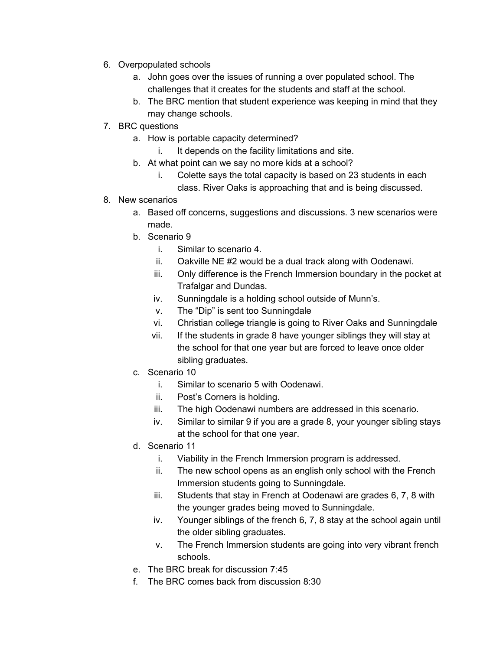- 6. Overpopulated schools
	- a. John goes over the issues of running a over populated school. The challenges that it creates for the students and staff at the school.
	- b. The BRC mention that student experience was keeping in mind that they may change schools.
- 7. BRC questions
	- a. How is portable capacity determined?
		- i. It depends on the facility limitations and site.
	- b. At what point can we say no more kids at a school?
		- i. Colette says the total capacity is based on 23 students in each
			- class. River Oaks is approaching that and is being discussed.
- 8. New scenarios
	- a. Based off concerns, suggestions and discussions. 3 new scenarios were made.
	- b. Scenario 9
		- i. Similar to scenario 4.
		- ii. Oakville NE #2 would be a dual track along with Oodenawi.
		- iii. Only difference is the French Immersion boundary in the pocket at Trafalgar and Dundas.
		- iv. Sunningdale is a holding school outside of Munn's.
		- v. The "Dip" is sent too Sunningdale
		- vi. Christian college triangle is going to River Oaks and Sunningdale
		- vii. If the students in grade 8 have younger siblings they will stay at the school for that one year but are forced to leave once older sibling graduates.
	- c. Scenario 10
		- i. Similar to scenario 5 with Oodenawi.
		- ii. Post's Corners is holding.
		- iii. The high Oodenawi numbers are addressed in this scenario.
		- iv. Similar to similar 9 if you are a grade 8, your younger sibling stays at the school for that one year.
	- d. Scenario 11
		- i. Viability in the French Immersion program is addressed.
		- ii. The new school opens as an english only school with the French Immersion students going to Sunningdale.
		- iii. Students that stay in French at Oodenawi are grades 6, 7, 8 with the younger grades being moved to Sunningdale.
		- iv. Younger siblings of the french 6, 7, 8 stay at the school again until the older sibling graduates.
		- v. The French Immersion students are going into very vibrant french schools.
	- e. The BRC break for discussion 7:45
	- f. The BRC comes back from discussion 8:30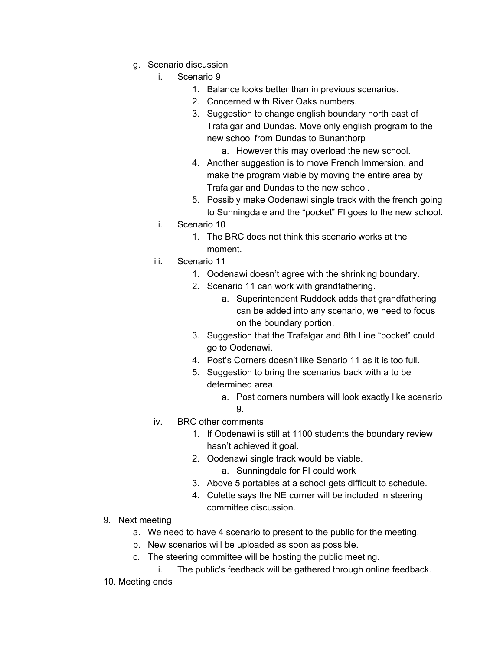- g. Scenario discussion
	- i. Scenario 9
		- 1. Balance looks better than in previous scenarios.
		- 2. Concerned with River Oaks numbers.
		- 3. Suggestion to change english boundary north east of Trafalgar and Dundas. Move only english program to the new school from Dundas to Bunanthorp
			- a. However this may overload the new school.
		- 4. Another suggestion is to move French Immersion, and make the program viable by moving the entire area by Trafalgar and Dundas to the new school.
		- 5. Possibly make Oodenawi single track with the french going to Sunningdale and the "pocket" FI goes to the new school.
	- ii. Scenario 10
		- 1. The BRC does not think this scenario works at the moment.
	- iii. Scenario 11
		- 1. Oodenawi doesn't agree with the shrinking boundary.
		- 2. Scenario 11 can work with grandfathering.
			- a. Superintendent Ruddock adds that grandfathering can be added into any scenario, we need to focus on the boundary portion.
		- 3. Suggestion that the Trafalgar and 8th Line "pocket" could go to Oodenawi.
		- 4. Post's Corners doesn't like Senario 11 as it is too full.
		- 5. Suggestion to bring the scenarios back with a to be determined area.
			- a. Post corners numbers will look exactly like scenario  $\mathbf{Q}$
	- iv. BRC other comments
		- 1. If Oodenawi is still at 1100 students the boundary review hasn't achieved it goal.
		- 2. Oodenawi single track would be viable.
			- a. Sunningdale for FI could work
		- 3. Above 5 portables at a school gets difficult to schedule.
		- 4. Colette says the NE corner will be included in steering committee discussion.
- 9. Next meeting
	- a. We need to have 4 scenario to present to the public for the meeting.
	- b. New scenarios will be uploaded as soon as possible.
	- c. The steering committee will be hosting the public meeting.
		- i. The public's feedback will be gathered through online feedback.
- 10. Meeting ends